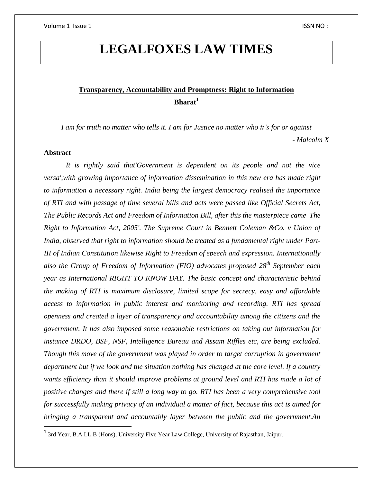# **LEGALFOXES LAW TIMES**

## **Transparency, Accountability and Promptness: Right to Information Bharat<sup>1</sup>**

I am for truth no matter who tells it. I am for Justice no matter who it's for or against *- Malcolm X*

### **Abstract**

*It is rightly said that'Government is dependent on its people and not the vice versa',with growing importance of information dissemination in this new era has made right to information a necessary right. India being the largest democracy realised the importance of RTI and with passage of time several bills and acts were passed like Official Secrets Act, The Public Records Act and Freedom of Information Bill, after this the masterpiece came 'The Right to Information Act, 2005'. The Supreme Court in Bennett Coleman &Co. v Union of India, observed that right to information should be treated as a fundamental right under Part-III of Indian Constitution likewise Right to Freedom of speech and expression. Internationally also the Group of Freedom of Information (FIO) advocates proposed 28th September each year as International RIGHT TO KNOW DAY. The basic concept and characteristic behind the making of RTI is maximum disclosure, limited scope for secrecy, easy and affordable access to information in public interest and monitoring and recording. RTI has spread openness and created a layer of transparency and accountability among the citizens and the government. It has also imposed some reasonable restrictions on taking out information for instance DRDO, BSF, NSF, Intelligence Bureau and Assam Riffles etc, are being excluded. Though this move of the government was played in order to target corruption in government department but if we look and the situation nothing has changed at the core level. If a country wants efficiency than it should improve problems at ground level and RTI has made a lot of positive changes and there if still a long way to go. RTI has been a very comprehensive tool for successfully making privacy of an individual a matter of fact, because this act is aimed for bringing a transparent and accountably layer between the public and the government.An*

 **1** 3rd Year, B.A.LL.B (Hons), University Five Year Law College, University of Rajasthan, Jaipur.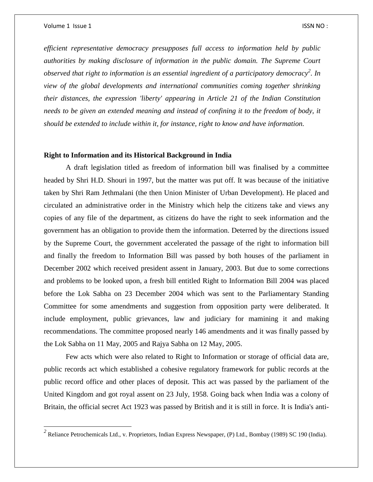$\overline{\phantom{a}}$ 

*efficient representative democracy presupposes full access to information held by public authorities by making disclosure of information in the public domain. The Supreme Court observed that right to information is an essential ingredient of a participatory democracy<sup>2</sup> . In view of the global developments and international communities coming together shrinking their distances, the expression 'liberty' appearing in Article 21 of the Indian Constitution needs to be given an extended meaning and instead of confining it to the freedom of body, it should be extended to include within it, for instance, right to know and have information.*

#### **Right to Information and its Historical Background in India**

A draft legislation titled as freedom of information bill was finalised by a committee headed by Shri H.D. Shouri in 1997, but the matter was put off. It was because of the initiative taken by Shri Ram Jethmalani (the then Union Minister of Urban Development). He placed and circulated an administrative order in the Ministry which help the citizens take and views any copies of any file of the department, as citizens do have the right to seek information and the government has an obligation to provide them the information. Deterred by the directions issued by the Supreme Court, the government accelerated the passage of the right to information bill and finally the freedom to Information Bill was passed by both houses of the parliament in December 2002 which received president assent in January, 2003. But due to some corrections and problems to be looked upon, a fresh bill entitled Right to Information Bill 2004 was placed before the Lok Sabha on 23 December 2004 which was sent to the Parliamentary Standing Committee for some amendments and suggestion from opposition party were deliberated. It include employment, public grievances, law and judiciary for mamining it and making recommendations. The committee proposed nearly 146 amendments and it was finally passed by the Lok Sabha on 11 May, 2005 and Rajya Sabha on 12 May, 2005.

Few acts which were also related to Right to Information or storage of official data are, public records act which established a cohesive regulatory framework for public records at the public record office and other places of deposit. This act was passed by the parliament of the United Kingdom and got royal assent on 23 July, 1958. Going back when India was a colony of Britain, the official secret Act 1923 was passed by British and it is still in force. It is India's anti-

*<sup>2</sup>* Reliance Petrochemicals Ltd., v. Proprietors, Indian Express Newspaper, (P) Ltd., Bombay (1989) SC 190 (India).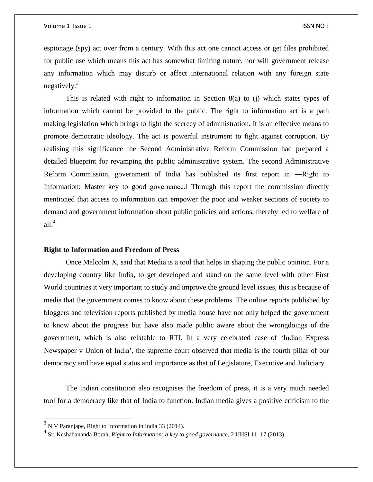espionage (spy) act over from a century. With this act one cannot access or get files prohibited for public use which means this act has somewhat limiting nature, nor will government release any information which may disturb or affect international relation with any foreign state negatively. $3$ 

This is related with right to information in Section 8(a) to (j) which states types of information which cannot be provided to the public. The right to information act is a path making legislation which brings to light the secrecy of administration. It is an effective means to promote democratic ideology. The act is powerful instrument to fight against corruption. By realising this significance the Second Administrative Reform Commission had prepared a detailed blueprint for revamping the public administrative system. The second Administrative Reform Commission, government of India has published its first report in ―Right to Information: Master key to good governance. Through this report the commission directly mentioned that access to information can empower the poor and weaker sections of society to demand and government information about public policies and actions, thereby led to welfare of all. $4$ 

#### **Right to Information and Freedom of Press**

Once Malcolm X, said that Media is a tool that helps in shaping the public opinion. For a developing country like India, to get developed and stand on the same level with other First World countries it very important to study and improve the ground level issues, this is because of media that the government comes to know about these problems. The online reports published by bloggers and television reports published by media house have not only helped the government to know about the progress but have also made public aware about the wrongdoings of the government, which is also relatable to RTI. In a very celebrated case of 'Indian Express Newspaper v Union of India', the supreme court observed that media is the fourth pillar of our democracy and have equal status and importance as that of Legislature, Executive and Judiciary.

The Indian constitution also recognises the freedom of press, it is a very much needed tool for a democracy like that of India to function. Indian media gives a positive criticism to the

 $3$  N V Paranjape, Right to Information in India 33 (2014).

<sup>4</sup> Sri Keshabananda Borah, *Right to Information: a key to good governance*, 2 IJHSI 11, 17 (2013).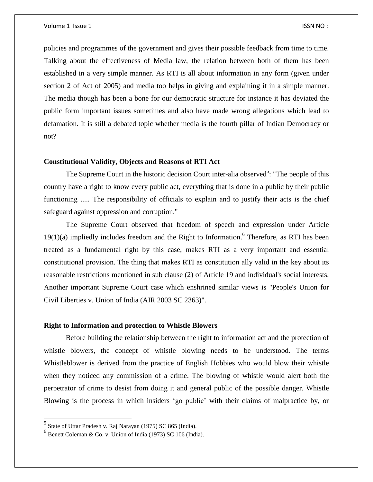policies and programmes of the government and gives their possible feedback from time to time. Talking about the effectiveness of Media law, the relation between both of them has been established in a very simple manner. As RTI is all about information in any form (given under section 2 of Act of 2005) and media too helps in giving and explaining it in a simple manner. The media though has been a bone for our democratic structure for instance it has deviated the public form important issues sometimes and also have made wrong allegations which lead to defamation. It is still a debated topic whether media is the fourth pillar of Indian Democracy or not?

### **Constitutional Validity, Objects and Reasons of RTI Act**

The Supreme Court in the historic decision Court inter-alia observed<sup>5</sup>: "The people of this country have a right to know every public act, everything that is done in a public by their public functioning ..... The responsibility of officials to explain and to justify their acts is the chief safeguard against oppression and corruption."

The Supreme Court observed that freedom of speech and expression under Article  $19(1)(a)$  impliedly includes freedom and the Right to Information.<sup>6</sup> Therefore, as RTI has been treated as a fundamental right by this case, makes RTI as a very important and essential constitutional provision. The thing that makes RTI as constitution ally valid in the key about its reasonable restrictions mentioned in sub clause (2) of Article 19 and individual's social interests. Another important Supreme Court case which enshrined similar views is "People's Union for Civil Liberties v. Union of India (AIR 2003 SC 2363)".

#### **Right to Information and protection to Whistle Blowers**

Before building the relationship between the right to information act and the protection of whistle blowers, the concept of whistle blowing needs to be understood. The terms Whistleblower is derived from the practice of English Hobbies who would blow their whistle when they noticed any commission of a crime. The blowing of whistle would alert both the perpetrator of crime to desist from doing it and general public of the possible danger. Whistle Blowing is the process in which insiders 'go public' with their claims of malpractice by, or

<sup>&</sup>lt;sup>5</sup> State of Uttar Pradesh v. Raj Narayan (1975) SC 865 (India).

 $6$  Benett Coleman & Co. v. Union of India (1973) SC 106 (India).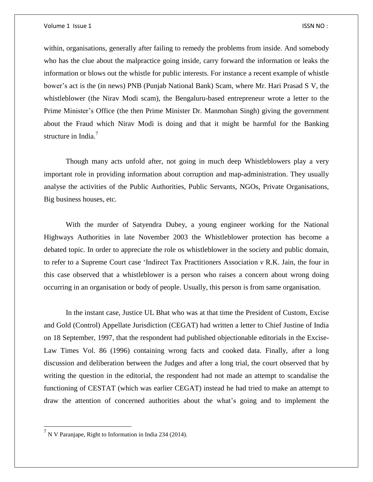within, organisations, generally after failing to remedy the problems from inside. And somebody who has the clue about the malpractice going inside, carry forward the information or leaks the information or blows out the whistle for public interests. For instance a recent example of whistle bower's act is the (in news) PNB (Punjab National Bank) Scam, where Mr. Hari Prasad S V, the whistleblower (the Nirav Modi scam), the Bengaluru-based entrepreneur wrote a letter to the Prime Minister's Office (the then Prime Minister Dr. Manmohan Singh) giving the government about the Fraud which Nirav Modi is doing and that it might be harmful for the Banking structure in India.<sup>7</sup>

Though many acts unfold after, not going in much deep Whistleblowers play a very important role in providing information about corruption and map-administration. They usually analyse the activities of the Public Authorities, Public Servants, NGOs, Private Organisations, Big business houses, etc.

With the murder of Satyendra Dubey, a young engineer working for the National Highways Authorities in late November 2003 the Whistleblower protection has become a debated topic. In order to appreciate the role os whistleblower in the society and public domain, to refer to a Supreme Court case 'Indirect Tax Practitioners Association *v* R.K. Jain, the four in this case observed that a whistleblower is a person who raises a concern about wrong doing occurring in an organisation or body of people. Usually, this person is from same organisation.

In the instant case, Justice UL Bhat who was at that time the President of Custom, Excise and Gold (Control) Appellate Jurisdiction (CEGAT) had written a letter to Chief Justine of India on 18 September, 1997, that the respondent had published objectionable editorials in the Excise-Law Times Vol. 86 (1996) containing wrong facts and cooked data. Finally, after a long discussion and deliberation between the Judges and after a long trial, the court observed that by writing the question in the editorial, the respondent had not made an attempt to scandalise the functioning of CESTAT (which was earlier CEGAT) instead he had tried to make an attempt to draw the attention of concerned authorities about the what's going and to implement the

 $^7$  N V Paranjape, Right to Information in India 234 (2014).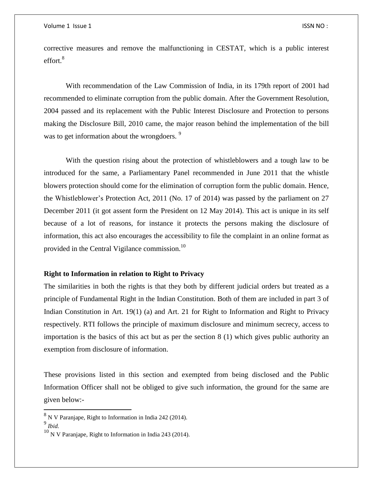corrective measures and remove the malfunctioning in CESTAT, which is a public interest  $effort.<sup>8</sup>$ 

With recommendation of the Law Commission of India, in its 179th report of 2001 had recommended to eliminate corruption from the public domain. After the Government Resolution, 2004 passed and its replacement with the Public Interest Disclosure and Protection to persons making the Disclosure Bill, 2010 came, the major reason behind the implementation of the bill was to get information about the wrongdoers.<sup>9</sup>

With the question rising about the protection of whistleblowers and a tough law to be introduced for the same, a Parliamentary Panel recommended in June 2011 that the whistle blowers protection should come for the elimination of corruption form the public domain. Hence, the Whistleblower's Protection Act, 2011 (No. 17 of 2014) was passed by the parliament on 27 December 2011 (it got assent form the President on 12 May 2014). This act is unique in its self because of a lot of reasons, for instance it protects the persons making the disclosure of information, this act also encourages the accessibility to file the complaint in an online format as provided in the Central Vigilance commission.<sup>10</sup>

#### **Right to Information in relation to Right to Privacy**

The similarities in both the rights is that they both by different judicial orders but treated as a principle of Fundamental Right in the Indian Constitution. Both of them are included in part 3 of Indian Constitution in Art. 19(1) (a) and Art. 21 for Right to Information and Right to Privacy respectively. RTI follows the principle of maximum disclosure and minimum secrecy, access to importation is the basics of this act but as per the section 8 (1) which gives public authority an exemption from disclosure of information.

These provisions listed in this section and exempted from being disclosed and the Public Information Officer shall not be obliged to give such information, the ground for the same are given below:-

 $8$  N V Paranjape, Right to Information in India 242 (2014).

<sup>9</sup> *Ibid.*

 $10$  N V Paranjape, Right to Information in India 243 (2014).